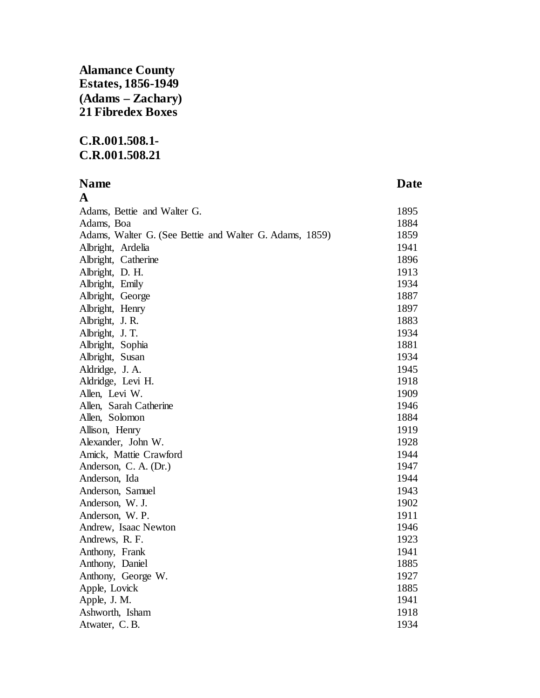## **Alamance County Estates, 1856-1949 (Adams – Zachary) 21 Fibredex Boxes**

## **C.R.001.508.1- C.R.001.508.21**

**Name Date A** Adams, Bettie and Walter G. 1895 Adams, Boa 1884 Adams, Walter G. (See Bettie and Walter G. Adams, 1859) 1859 Albright, Ardelia 1941 Albright, Catherine 1896 Albright, D. H. 1913 Albright, Emily 1934 Albright, George 1887 Albright, Henry 1897 Albright, J. R. 1883 Albright, J. T. 1934 Albright, Sophia 1881 Albright, Susan 1934 Aldridge, J.A. 1945 Aldridge, Levi H. 1918 Allen, Levi W. 1909 Allen, Sarah Catherine 1946 Allen, Solomon 1884 Allison, Henry 1919 Alexander, John W. 1928 Amick, Mattie Crawford 1944 Anderson, C. A. (Dr.) 1947 Anderson, Ida 1944 Anderson, Samuel 1943 Anderson, W. J. 1902 Anderson, W. P. 1911 Andrew, Isaac Newton 1946 Andrews, R. F. 1923 Anthony, Frank 1941 Anthony, Daniel 1885 Anthony, George W. 1927 Apple, Lovick 1885 Apple, J. M. 1941 Ashworth, Isham 1918

Atwater, C. B. 1934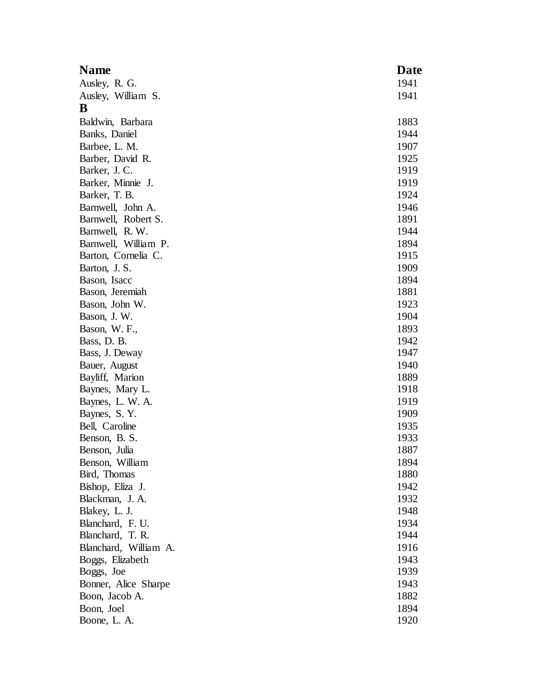| <b>Name</b>           | Date |
|-----------------------|------|
| Ausley, R. G.         | 1941 |
| Ausley, William S.    | 1941 |
| B                     |      |
| Baldwin, Barbara      | 1883 |
| Banks, Daniel         | 1944 |
| Barbee, L. M.         | 1907 |
| Barber, David R.      | 1925 |
| Barker, J. C.         | 1919 |
| Barker, Minnie J.     | 1919 |
| Barker, T. B.         | 1924 |
| Barnwell, John A.     | 1946 |
| Barnwell, Robert S.   | 1891 |
| Barnwell, R.W.        | 1944 |
| Barnwell, William P.  | 1894 |
| Barton, Cornelia C.   | 1915 |
| Barton, J. S.         | 1909 |
| Bason, Isacc          | 1894 |
| Bason, Jeremiah       | 1881 |
| Bason, John W.        | 1923 |
| Bason, J.W.           | 1904 |
| Bason, W.F.,          | 1893 |
| Bass, D. B.           | 1942 |
| Bass, J. Deway        | 1947 |
| Bauer, August         | 1940 |
| Bayliff, Marion       | 1889 |
| Baynes, Mary L.       | 1918 |
| Baynes, L. W. A.      | 1919 |
| Baynes, S.Y.          | 1909 |
| Bell, Caroline        | 1935 |
| Benson, B. S.         | 1933 |
| Benson, Julia         | 1887 |
| Benson, William       | 1894 |
| Bird, Thomas          | 1880 |
| Bishop, Eliza J.      | 1942 |
| Blackman, J. A.       | 1932 |
| Blakey, L. J.         | 1948 |
| Blanchard, F. U.      | 1934 |
| Blanchard, T. R.      | 1944 |
| Blanchard, William A. | 1916 |
| Boggs, Elizabeth      | 1943 |
| Boggs, Joe            | 1939 |
| Bonner, Alice Sharpe  | 1943 |
| Boon, Jacob A.        | 1882 |
| Boon, Joel            | 1894 |
| Boone, L. A.          | 1920 |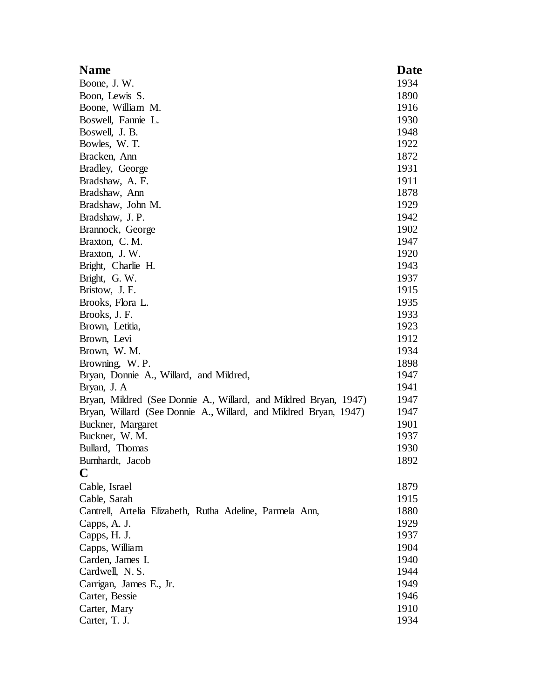| <b>Name</b>                                                      | Date |
|------------------------------------------------------------------|------|
| Boone, J.W.                                                      | 1934 |
| Boon, Lewis S.                                                   | 1890 |
| Boone, William M.                                                | 1916 |
| Boswell, Fannie L.                                               | 1930 |
| Boswell, J. B.                                                   | 1948 |
| Bowles, W.T.                                                     | 1922 |
| Bracken, Ann                                                     | 1872 |
| Bradley, George                                                  | 1931 |
| Bradshaw, A. F.                                                  | 1911 |
| Bradshaw, Ann                                                    | 1878 |
| Bradshaw, John M.                                                | 1929 |
| Bradshaw, J. P.                                                  | 1942 |
| Brannock, George                                                 | 1902 |
| Braxton, C.M.                                                    | 1947 |
| Braxton, J.W.                                                    | 1920 |
| Bright, Charlie H.                                               | 1943 |
| Bright, G. W.                                                    | 1937 |
| Bristow, J. F.                                                   | 1915 |
| Brooks, Flora L.                                                 | 1935 |
| Brooks, J.F.                                                     | 1933 |
| Brown, Letitia,                                                  | 1923 |
| Brown, Levi                                                      | 1912 |
| Brown, W. M.                                                     | 1934 |
| Browning, W.P.                                                   | 1898 |
| Bryan, Donnie A., Willard, and Mildred,                          | 1947 |
| Bryan, J. A                                                      | 1941 |
| Bryan, Mildred (See Donnie A., Willard, and Mildred Bryan, 1947) | 1947 |
| Bryan, Willard (See Donnie A., Willard, and Mildred Bryan, 1947) | 1947 |
| Buckner, Margaret                                                | 1901 |
| Buckner, W. M.                                                   | 1937 |
| Bullard, Thomas                                                  | 1930 |
| Bumhardt, Jacob                                                  | 1892 |
| $\mathbf C$                                                      |      |
| Cable, Israel                                                    | 1879 |
| Cable, Sarah                                                     | 1915 |
| Cantrell, Artelia Elizabeth, Rutha Adeline, Parmela Ann,         | 1880 |
| Capps, A. J.                                                     | 1929 |
| Capps, H. J.                                                     | 1937 |
| Capps, William                                                   | 1904 |
| Carden, James I.                                                 | 1940 |
| Cardwell, N.S.                                                   | 1944 |
| Carrigan, James E., Jr.                                          | 1949 |
| Carter, Bessie                                                   | 1946 |
| Carter, Mary                                                     | 1910 |
| Carter, T. J.                                                    | 1934 |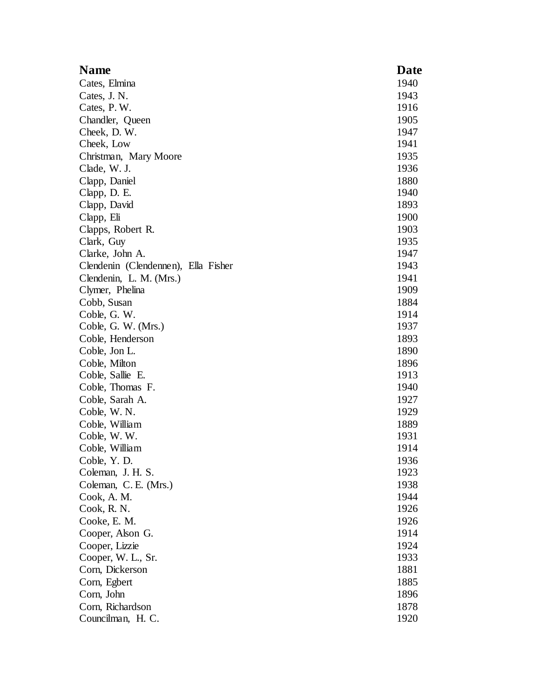| <b>Name</b>                         | Date |
|-------------------------------------|------|
| Cates, Elmina                       | 1940 |
| Cates, J. N.                        | 1943 |
| Cates, P.W.                         | 1916 |
| Chandler, Queen                     | 1905 |
| Cheek, D.W.                         | 1947 |
| Cheek, Low                          | 1941 |
| Christman, Mary Moore               | 1935 |
| Clade, W. J.                        | 1936 |
| Clapp, Daniel                       | 1880 |
| Clapp, D. E.                        | 1940 |
| Clapp, David                        | 1893 |
| Clapp, Eli                          | 1900 |
| Clapps, Robert R.                   | 1903 |
| Clark, Guy                          | 1935 |
| Clarke, John A.                     | 1947 |
| Clendenin (Clendennen), Ella Fisher | 1943 |
| Clendenin, L. M. (Mrs.)             | 1941 |
| Clymer, Phelina                     | 1909 |
| Cobb, Susan                         | 1884 |
| Coble, G. W.                        | 1914 |
| Coble, G. W. (Mrs.)                 | 1937 |
| Coble, Henderson                    | 1893 |
| Coble, Jon L.                       | 1890 |
| Coble, Milton                       | 1896 |
| Coble, Sallie E.                    | 1913 |
| Coble, Thomas F.                    | 1940 |
| Coble, Sarah A.                     | 1927 |
| Coble, W. N.                        | 1929 |
| Coble, William                      | 1889 |
| Coble, W.W.                         | 1931 |
| Coble, William                      | 1914 |
| Coble, Y.D.                         | 1936 |
| Coleman, J. H. S.                   | 1923 |
| Coleman, C. E. (Mrs.)               | 1938 |
| Cook, A. M.                         | 1944 |
| Cook, R. N.                         | 1926 |
| Cooke, E. M.                        | 1926 |
| Cooper, Alson G.                    | 1914 |
| Cooper, Lizzie                      | 1924 |
| Cooper, W. L., Sr.                  | 1933 |
| Corn, Dickerson                     | 1881 |
| Corn, Egbert                        | 1885 |
| Corn, John                          | 1896 |
| Corn, Richardson                    | 1878 |
| Councilman, H. C.                   | 1920 |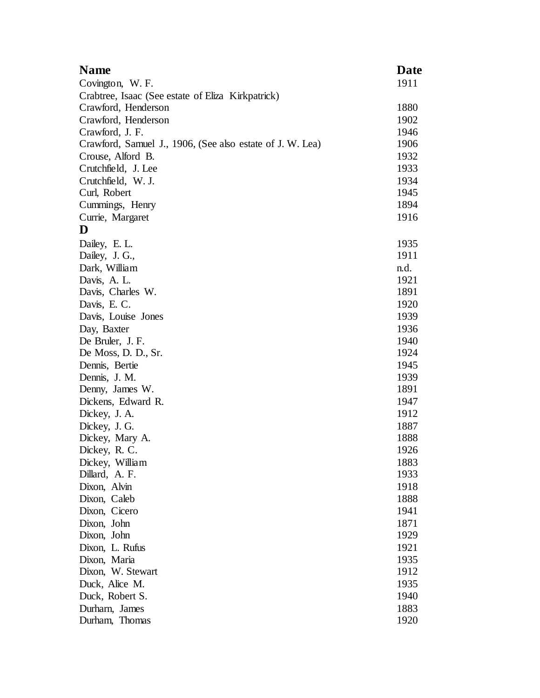| <b>Name</b>                                               | Date |
|-----------------------------------------------------------|------|
| Covington, W.F.                                           | 1911 |
| Crabtree, Isaac (See estate of Eliza Kirkpatrick)         |      |
| Crawford, Henderson                                       | 1880 |
| Crawford, Henderson                                       | 1902 |
| Crawford, J. F.                                           | 1946 |
| Crawford, Samuel J., 1906, (See also estate of J. W. Lea) | 1906 |
| Crouse, Alford B.                                         | 1932 |
| Crutchfield, J. Lee                                       | 1933 |
| Crutchfield, W. J.                                        | 1934 |
| Curl, Robert                                              | 1945 |
| Cummings, Henry                                           | 1894 |
| Currie, Margaret                                          | 1916 |
| D                                                         |      |
| Dailey, E. L.                                             | 1935 |
| Dailey, J. G.,                                            | 1911 |
| Dark, William                                             | n.d. |
| Davis, A. L.                                              | 1921 |
| Davis, Charles W.                                         | 1891 |
| Davis, E. C.                                              | 1920 |
| Davis, Louise Jones                                       | 1939 |
| Day, Baxter                                               | 1936 |
| De Bruler, J. F.                                          | 1940 |
| De Moss, D. D., Sr.                                       | 1924 |
| Dennis, Bertie                                            | 1945 |
| Dennis, J. M.                                             | 1939 |
| Denny, James W.                                           | 1891 |
| Dickens, Edward R.                                        | 1947 |
| Dickey, J. A.                                             | 1912 |
| Dickey, J. G.                                             | 1887 |
| Dickey, Mary A.                                           | 1888 |
| Dickey, R. C.                                             | 1926 |
| Dickey, William                                           | 1883 |
| Dillard, A. F.                                            | 1933 |
| Dixon, Alvin                                              | 1918 |
| Dixon, Caleb                                              | 1888 |
| Dixon, Cicero                                             | 1941 |
| Dixon, John                                               | 1871 |
| Dixon, John                                               | 1929 |
| Dixon, L. Rufus                                           | 1921 |
| Dixon, Maria                                              | 1935 |
| Dixon, W. Stewart                                         | 1912 |
| Duck, Alice M.                                            | 1935 |
| Duck, Robert S.                                           | 1940 |
| Durharn, James                                            | 1883 |
| Durham, Thomas                                            | 1920 |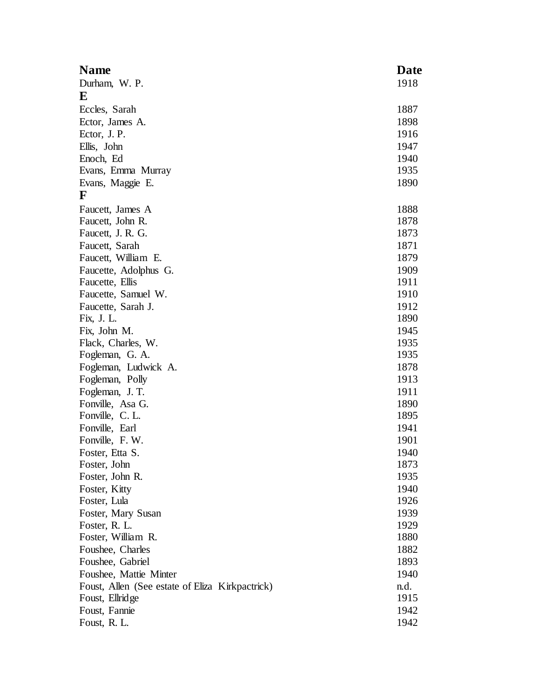| <b>Name</b>                                     | Date |
|-------------------------------------------------|------|
| Durham, W. P.                                   | 1918 |
| E                                               |      |
| Eccles, Sarah                                   | 1887 |
| Ector, James A.                                 | 1898 |
| Ector, J. P.                                    | 1916 |
| Ellis, John                                     | 1947 |
| Enoch, Ed                                       | 1940 |
| Evans, Emma Murray                              | 1935 |
| Evans, Maggie E.                                | 1890 |
| F                                               |      |
| Faucett, James A                                | 1888 |
| Faucett, John R.                                | 1878 |
| Faucett, J. R. G.                               | 1873 |
| Faucett, Sarah                                  | 1871 |
| Faucett, William E.                             | 1879 |
| Faucette, Adolphus G.                           | 1909 |
| Faucette, Ellis                                 | 1911 |
| Faucette, Samuel W.                             | 1910 |
| Faucette, Sarah J.                              | 1912 |
| Fix, J. L.                                      | 1890 |
| Fix, John M.                                    | 1945 |
| Flack, Charles, W.                              | 1935 |
| Fogleman, G. A.                                 | 1935 |
| Fogleman, Ludwick A.                            | 1878 |
| Fogleman, Polly                                 | 1913 |
| Fogleman, J. T.                                 | 1911 |
| Fonville, Asa G.                                | 1890 |
| Fonville, C.L.                                  | 1895 |
| Fonville, Earl                                  | 1941 |
| Fonville, F.W.                                  | 1901 |
| Foster, Etta S.                                 | 1940 |
| Foster, John                                    | 1873 |
| Foster, John R.                                 | 1935 |
| Foster, Kitty                                   | 1940 |
| Foster, Lula                                    | 1926 |
| Foster, Mary Susan                              | 1939 |
| Foster, R. L.                                   | 1929 |
| Foster, William R.                              | 1880 |
| Foushee, Charles                                | 1882 |
| Foushee, Gabriel                                | 1893 |
| Foushee, Mattie Minter                          | 1940 |
| Foust, Allen (See estate of Eliza Kirkpactrick) | n.d. |
| Foust, Ellridge                                 | 1915 |
| Foust, Fannie                                   | 1942 |
| Foust, R.L.                                     | 1942 |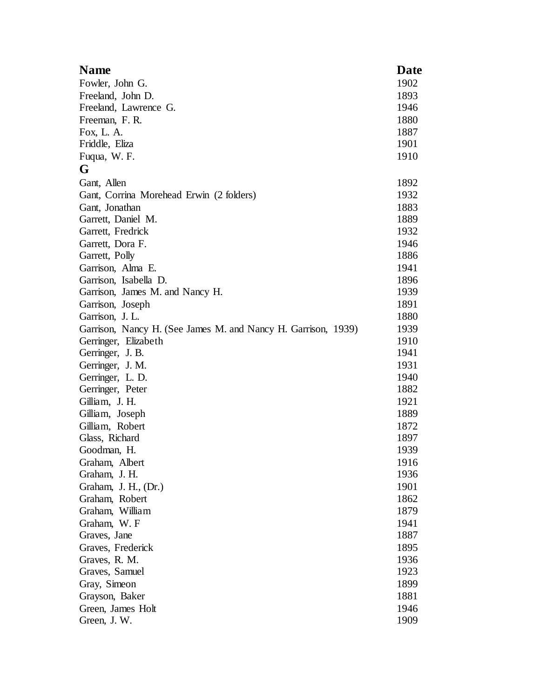| <b>Name</b>                                                   | Date |
|---------------------------------------------------------------|------|
| Fowler, John G.                                               | 1902 |
| Freeland, John D.                                             | 1893 |
| Freeland, Lawrence G.                                         | 1946 |
| Freeman, F.R.                                                 | 1880 |
| Fox, L. A.                                                    | 1887 |
| Friddle, Eliza                                                | 1901 |
| Fuqua, W.F.                                                   | 1910 |
| G                                                             |      |
| Gant, Allen                                                   | 1892 |
| Gant, Corrina Morehead Erwin (2 folders)                      | 1932 |
| Gant, Jonathan                                                | 1883 |
| Garrett, Daniel M.                                            | 1889 |
| Garrett, Fredrick                                             | 1932 |
| Garrett, Dora F.                                              | 1946 |
| Garrett, Polly                                                | 1886 |
| Garrison, Alma E.                                             | 1941 |
| Garrison, Isabella D.                                         | 1896 |
| Garrison, James M. and Nancy H.                               | 1939 |
| Garrison, Joseph                                              | 1891 |
| Garrison, J.L.                                                | 1880 |
| Garrison, Nancy H. (See James M. and Nancy H. Garrison, 1939) | 1939 |
| Gerringer, Elizabeth                                          | 1910 |
| Gerringer, J. B.                                              | 1941 |
| Gerringer, J. M.                                              | 1931 |
| Gerringer, L. D.                                              | 1940 |
| Gerringer, Peter                                              | 1882 |
| Gilliam, J. H.                                                | 1921 |
| Gilliam, Joseph                                               | 1889 |
| Gilliam, Robert                                               | 1872 |
| Glass, Richard                                                | 1897 |
| Goodman, H.                                                   | 1939 |
| Graham, Albert                                                | 1916 |
| Graham, J. H.                                                 | 1936 |
| Graham, J. H., (Dr.)                                          | 1901 |
| Graham, Robert                                                | 1862 |
| Graham, William                                               | 1879 |
| Graham, W. F                                                  | 1941 |
| Graves, Jane                                                  | 1887 |
| Graves, Frederick                                             | 1895 |
| Graves, R. M.                                                 | 1936 |
| Graves, Samuel                                                | 1923 |
| Gray, Simeon                                                  | 1899 |
| Grayson, Baker                                                | 1881 |
| Green, James Holt                                             | 1946 |
| Green, J.W.                                                   | 1909 |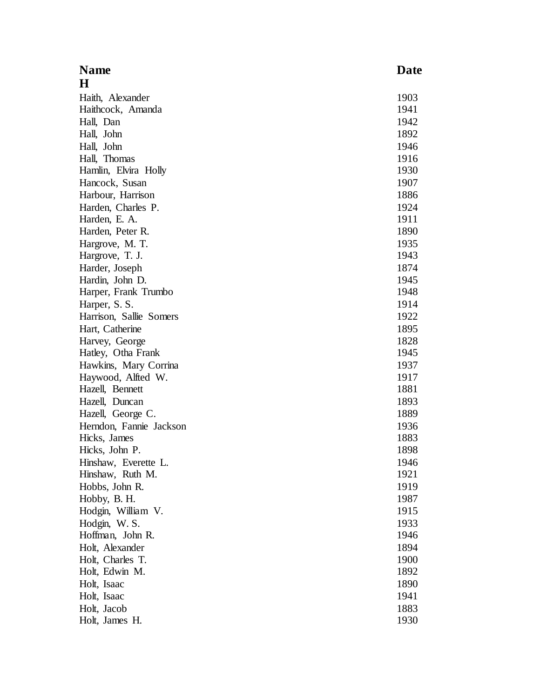| <b>Name</b>             | <b>Date</b> |
|-------------------------|-------------|
| $\bf H$                 |             |
| Haith, Alexander        | 1903        |
| Haithcock, Amanda       | 1941        |
| Hall, Dan               | 1942        |
| Hall, John              | 1892        |
| Hall, John              | 1946        |
| Hall, Thomas            | 1916        |
| Hamlin, Elvira Holly    | 1930        |
| Hancock, Susan          | 1907        |
| Harbour, Harrison       | 1886        |
| Harden, Charles P.      | 1924        |
| Harden, E. A.           | 1911        |
| Harden, Peter R.        | 1890        |
| Hargrove, M.T.          | 1935        |
| Hargrove, T. J.         | 1943        |
| Harder, Joseph          | 1874        |
| Hardin, John D.         | 1945        |
| Harper, Frank Trumbo    | 1948        |
| Harper, S. S.           | 1914        |
| Harrison, Sallie Somers | 1922        |
| Hart, Catherine         | 1895        |
| Harvey, George          | 1828        |
| Hatley, Otha Frank      | 1945        |
| Hawkins, Mary Corrina   | 1937        |
| Haywood, Alfted W.      | 1917        |
| Hazell, Bennett         | 1881        |
| Hazell, Duncan          | 1893        |
| Hazell, George C.       | 1889        |
| Herndon, Fannie Jackson | 1936        |
| Hicks, James            | 1883        |
| Hicks, John P.          | 1898        |
| Hinshaw, Everette L.    | 1946        |
| Hinshaw, Ruth M.        | 1921        |
| Hobbs, John R.          | 1919        |
| Hobby, B. H.            | 1987        |
| Hodgin, William V.      | 1915        |
| Hodgin, W. S.           | 1933        |
| Hoffman, John R.        | 1946        |
| Holt, Alexander         | 1894        |
| Holt, Charles T.        | 1900        |
| Holt, Edwin M.          | 1892        |
| Holt, Isaac             | 1890        |
| Holt, Isaac             | 1941        |
| Holt, Jacob             | 1883        |
| Holt, James H.          | 1930        |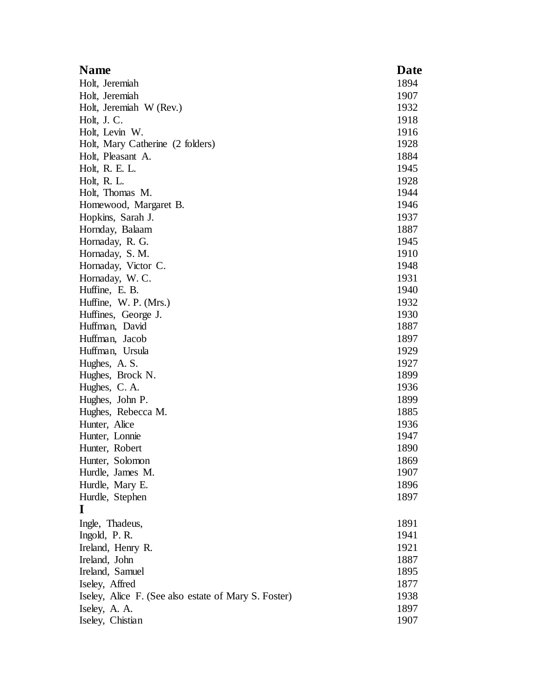| <b>Name</b>                                          | Date |
|------------------------------------------------------|------|
| Holt, Jeremiah                                       | 1894 |
| Holt, Jeremiah                                       | 1907 |
| Holt, Jeremiah W (Rev.)                              | 1932 |
| Holt, J.C.                                           | 1918 |
| Holt, Levin W.                                       | 1916 |
| Holt, Mary Catherine (2 folders)                     | 1928 |
| Holt, Pleasant A.                                    | 1884 |
| Holt, R. E. L.                                       | 1945 |
| Holt, R. L.                                          | 1928 |
| Holt, Thomas M.                                      | 1944 |
| Homewood, Margaret B.                                | 1946 |
| Hopkins, Sarah J.                                    | 1937 |
| Hornday, Balaam                                      | 1887 |
| Hornaday, R. G.                                      | 1945 |
| Hornaday, S. M.                                      | 1910 |
| Hornaday, Victor C.                                  | 1948 |
| Hornaday, W.C.                                       | 1931 |
| Huffine, E. B.                                       | 1940 |
| Huffine, W. P. (Mrs.)                                | 1932 |
| Huffines, George J.                                  | 1930 |
| Huffman, David                                       | 1887 |
| Huffman, Jacob                                       | 1897 |
| Huffman, Ursula                                      | 1929 |
| Hughes, A. S.                                        | 1927 |
| Hughes, Brock N.                                     | 1899 |
| Hughes, C.A.                                         | 1936 |
| Hughes, John P.                                      | 1899 |
| Hughes, Rebecca M.                                   | 1885 |
| Hunter, Alice                                        | 1936 |
| Hunter, Lonnie                                       | 1947 |
| Hunter, Robert                                       | 1890 |
| Hunter, Solomon                                      | 1869 |
| Hurdle, James M.                                     | 1907 |
| Hurdle, Mary E.                                      | 1896 |
| Hurdle, Stephen                                      | 1897 |
| I                                                    |      |
| Ingle, Thadeus,                                      | 1891 |
| Ingold, P.R.                                         | 1941 |
| Ireland, Henry R.                                    | 1921 |
| Ireland, John                                        | 1887 |
| Ireland, Samuel                                      | 1895 |
| Iseley, Affred                                       | 1877 |
| Iseley, Alice F. (See also estate of Mary S. Foster) | 1938 |
| Iseley, A. A.                                        | 1897 |
| Iseley, Chistian                                     | 1907 |
|                                                      |      |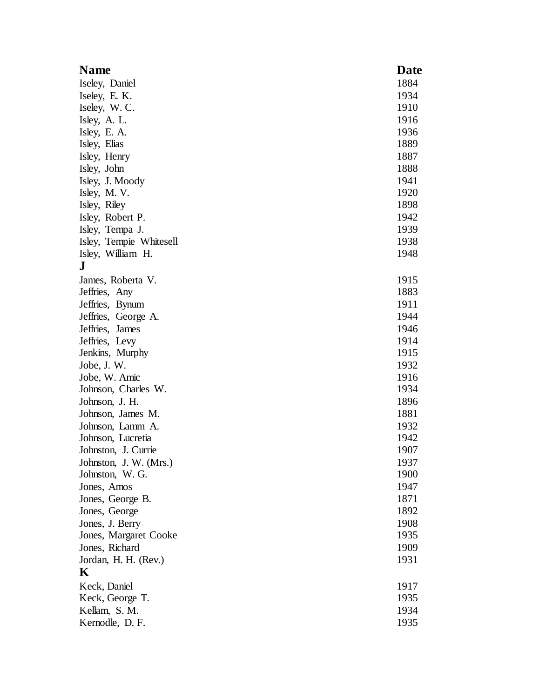| <b>Name</b>             | Date |
|-------------------------|------|
| Iseley, Daniel          | 1884 |
| Iseley, E. K.           | 1934 |
| Iseley, W.C.            | 1910 |
| Isley, A. L.            | 1916 |
| Isley, E. A.            | 1936 |
| Isley, Elias            | 1889 |
| Isley, Henry            | 1887 |
| Isley, John             | 1888 |
| Isley, J. Moody         | 1941 |
| Isley, M.V.             | 1920 |
| Isley, Riley            | 1898 |
| Isley, Robert P.        | 1942 |
| Isley, Tempa J.         | 1939 |
| Isley, Tempie Whitesell | 1938 |
| Isley, William H.       | 1948 |
| ${\bf J}$               |      |
| James, Roberta V.       | 1915 |
| Jeffries, Any           | 1883 |
| Jeffries, Bynum         | 1911 |
| Jeffries, George A.     | 1944 |
| Jeffries, James         | 1946 |
| Jeffries, Levy          | 1914 |
| Jenkins, Murphy         | 1915 |
| Jobe, J. W.             | 1932 |
| Jobe, W. Amic           | 1916 |
| Johnson, Charles W.     | 1934 |
| Johnson, J. H.          | 1896 |
| Johnson, James M.       | 1881 |
| Johnson, Lamm A.        | 1932 |
| Johnson, Lucretia       | 1942 |
| Johnston, J. Currie     | 1907 |
| Johnston, J. W. (Mrs.)  | 1937 |
| Johnston, W. G.         | 1900 |
| Jones, Amos             | 1947 |
| Jones, George B.        | 1871 |
| Jones, George           | 1892 |
| Jones, J. Berry         | 1908 |
| Jones, Margaret Cooke   | 1935 |
| Jones, Richard          | 1909 |
| Jordan, H. H. (Rev.)    | 1931 |
| K                       |      |
| Keck, Daniel            | 1917 |
| Keck, George T.         | 1935 |
| Kellam, S. M.           | 1934 |
| Kernodle, D.F.          | 1935 |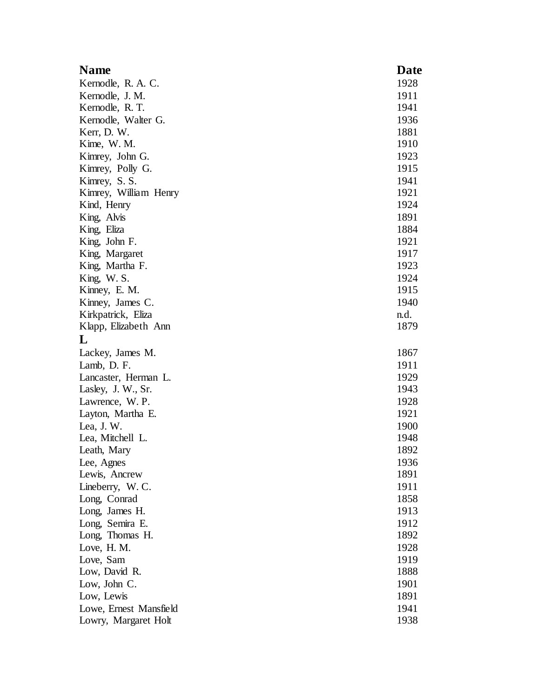| <b>Name</b>            | Date |
|------------------------|------|
| Kernodle, R. A. C.     | 1928 |
| Kernodle, J. M.        | 1911 |
| Kernodle, R. T.        | 1941 |
| Kernodle, Walter G.    | 1936 |
| Kerr, D. W.            | 1881 |
| Kime, W. M.            | 1910 |
| Kimrey, John G.        | 1923 |
| Kimrey, Polly G.       | 1915 |
| Kimrey, S.S.           | 1941 |
| Kimrey, William Henry  | 1921 |
| Kind, Henry            | 1924 |
| King, Alvis            | 1891 |
| King, Eliza            | 1884 |
| King, John F.          | 1921 |
| King, Margaret         | 1917 |
| King, Martha F.        | 1923 |
| King, W. S.            | 1924 |
| Kinney, E. M.          | 1915 |
| Kinney, James C.       | 1940 |
| Kirkpatrick, Eliza     | n.d. |
| Klapp, Elizabeth Ann   | 1879 |
| L                      |      |
| Lackey, James M.       | 1867 |
| Lamb, D. F.            | 1911 |
| Lancaster, Herman L.   | 1929 |
| Lasley, J. W., Sr.     | 1943 |
| Lawrence, W. P.        | 1928 |
| Layton, Martha E.      | 1921 |
| Lea, J.W.              | 1900 |
| Lea, Mitchell L.       | 1948 |
| Leath, Mary            | 1892 |
| Lee, Agnes             | 1936 |
| Lewis, Ancrew          | 1891 |
| Lineberry, W.C.        | 1911 |
| Long, Conrad           | 1858 |
| Long, James H.         | 1913 |
| Long, Semira E.        | 1912 |
| Long, Thomas H.        | 1892 |
| Love, H. M.            | 1928 |
| Love, Sam              | 1919 |
| Low, David R.          | 1888 |
| Low, John C.           | 1901 |
| Low, Lewis             | 1891 |
| Lowe, Ernest Mansfield | 1941 |
| Lowry, Margaret Holt   | 1938 |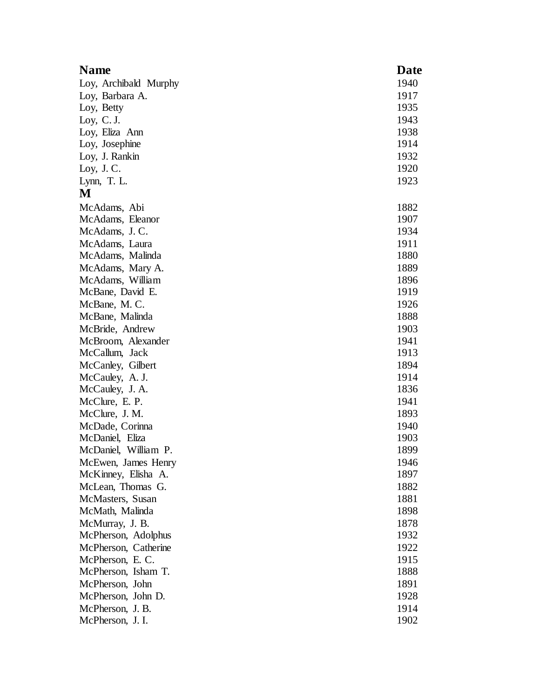| <b>Name</b>           | Date |
|-----------------------|------|
| Loy, Archibald Murphy | 1940 |
| Loy, Barbara A.       | 1917 |
| Loy, Betty            | 1935 |
| Loy, $C. J.$          | 1943 |
| Loy, Eliza Ann        | 1938 |
| Loy, Josephine        | 1914 |
| Loy, J. Rankin        | 1932 |
| Loy, J.C.             | 1920 |
| Lynn, T. L.           | 1923 |
| M                     |      |
| McAdams, Abi          | 1882 |
| McAdams, Eleanor      | 1907 |
| McAdams, J.C.         | 1934 |
| McAdams, Laura        | 1911 |
| McAdams, Malinda      | 1880 |
| McAdams, Mary A.      | 1889 |
| McAdams, William      | 1896 |
| McBane, David E.      | 1919 |
| McBane, M.C.          | 1926 |
| McBane, Malinda       | 1888 |
| McBride, Andrew       | 1903 |
| McBroom, Alexander    | 1941 |
| McCallum, Jack        | 1913 |
| McCanley, Gilbert     | 1894 |
| McCauley, A. J.       | 1914 |
| McCauley, J. A.       | 1836 |
| McClure, E. P.        | 1941 |
| McClure, J. M.        | 1893 |
| McDade, Corinna       | 1940 |
| McDaniel, Eliza       | 1903 |
| McDaniel, William P.  | 1899 |
| McEwen, James Henry   | 1946 |
| McKinney, Elisha A.   | 1897 |
| McLean, Thomas G.     | 1882 |
| McMasters, Susan      | 1881 |
| McMath, Malinda       | 1898 |
| McMurray, J. B.       | 1878 |
| McPherson, Adolphus   | 1932 |
| McPherson, Catherine  | 1922 |
| McPherson, E.C.       | 1915 |
| McPherson, Isham T.   | 1888 |
| McPherson, John       | 1891 |
| McPherson, John D.    | 1928 |
| McPherson, J.B.       | 1914 |
| McPherson, J. I.      | 1902 |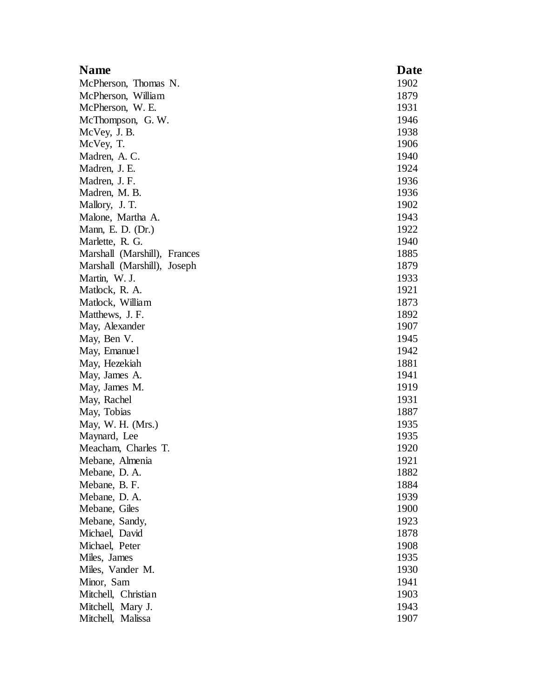| <b>Name</b>                  | Date |
|------------------------------|------|
| McPherson, Thomas N.         | 1902 |
| McPherson, William           | 1879 |
| McPherson, W. E.             | 1931 |
| McThompson, G.W.             | 1946 |
| McVey, J. B.                 | 1938 |
| McVey, T.                    | 1906 |
| Madren, A.C.                 | 1940 |
| Madren, J. E.                | 1924 |
| Madren, J. F.                | 1936 |
| Madren, M. B.                | 1936 |
| Mallory, J. T.               | 1902 |
| Malone, Martha A.            | 1943 |
| Mann, E. D. $(Dr.)$          | 1922 |
| Marlette, R. G.              | 1940 |
| Marshall (Marshill), Frances | 1885 |
| Marshall (Marshill), Joseph  | 1879 |
| Martin, W. J.                | 1933 |
| Matlock, R. A.               | 1921 |
| Matlock, William             | 1873 |
| Matthews, J. F.              | 1892 |
| May, Alexander               | 1907 |
| May, Ben V.                  | 1945 |
| May, Emanuel                 | 1942 |
| May, Hezekiah                | 1881 |
| May, James A.                | 1941 |
| May, James M.                | 1919 |
| May, Rachel                  | 1931 |
| May, Tobias                  | 1887 |
| May, W. H. $(Mrs.)$          | 1935 |
| Maynard, Lee                 | 1935 |
| Meacham, Charles T.          | 1920 |
| Mebane, Almenia              | 1921 |
| Mebane, D. A.                | 1882 |
| Mebane, B. F.                | 1884 |
| Mebane, D. A.                | 1939 |
| Mebane, Giles                | 1900 |
| Mebane, Sandy,               | 1923 |
| Michael, David               | 1878 |
| Michael, Peter               | 1908 |
| Miles, James                 | 1935 |
| Miles, Vander M.             | 1930 |
| Minor, Sam                   | 1941 |
| Mitchell, Christian          | 1903 |
| Mitchell, Mary J.            | 1943 |
| Mitchell, Malissa            | 1907 |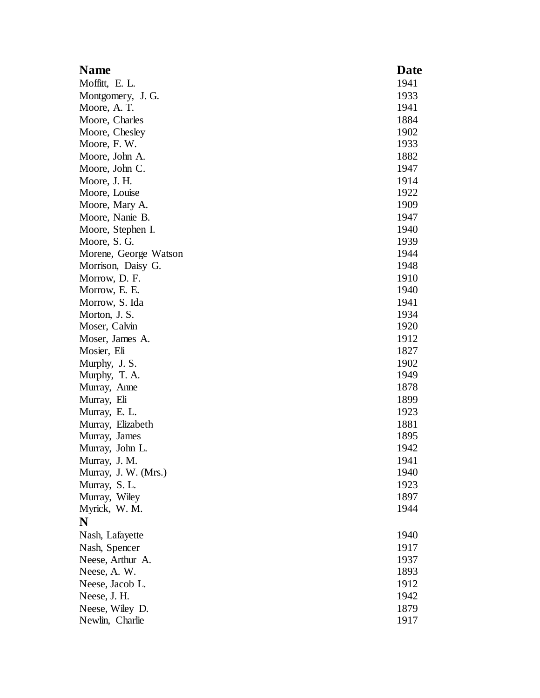| <b>Name</b>           | Date |
|-----------------------|------|
| Moffitt, E. L.        | 1941 |
| Montgomery, J. G.     | 1933 |
| Moore, A.T.           | 1941 |
| Moore, Charles        | 1884 |
| Moore, Chesley        | 1902 |
| Moore, F.W.           | 1933 |
| Moore, John A.        | 1882 |
| Moore, John C.        | 1947 |
| Moore, J.H.           | 1914 |
| Moore, Louise         | 1922 |
| Moore, Mary A.        | 1909 |
| Moore, Nanie B.       | 1947 |
| Moore, Stephen I.     | 1940 |
| Moore, S. G.          | 1939 |
| Morene, George Watson | 1944 |
| Morrison, Daisy G.    | 1948 |
| Morrow, D. F.         | 1910 |
| Morrow, E. E.         | 1940 |
| Morrow, S. Ida        | 1941 |
| Morton, J.S.          | 1934 |
| Moser, Calvin         | 1920 |
| Moser, James A.       | 1912 |
| Mosier, Eli           | 1827 |
| Murphy, J.S.          | 1902 |
| Murphy, T. A.         | 1949 |
| Murray, Anne          | 1878 |
| Murray, Eli           | 1899 |
| Murray, E. L.         | 1923 |
| Murray, Elizabeth     | 1881 |
| Murray, James         | 1895 |
| Murray, John L.       | 1942 |
| Murray, J. M.         | 1941 |
| Murray, J. W. (Mrs.)  | 1940 |
| Murray, S.L.          | 1923 |
| Murray, Wiley         | 1897 |
| Myrick, W. M.         | 1944 |
| N                     |      |
| Nash, Lafayette       | 1940 |
| Nash, Spencer         | 1917 |
| Neese, Arthur A.      | 1937 |
| Neese, A. W.          | 1893 |
| Neese, Jacob L.       | 1912 |
| Neese, J. H.          | 1942 |
| Neese, Wiley D.       | 1879 |
| Newlin, Charlie       | 1917 |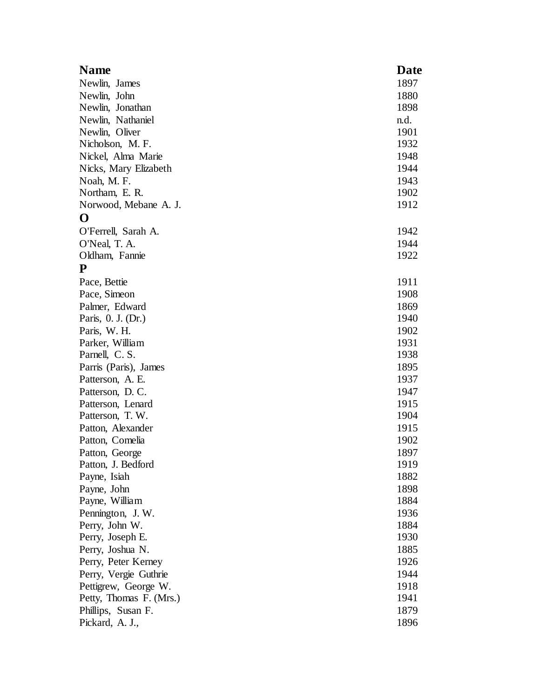| <b>Name</b>             | <b>Date</b> |
|-------------------------|-------------|
| Newlin, James           | 1897        |
| Newlin, John            | 1880        |
| Newlin, Jonathan        | 1898        |
| Newlin, Nathaniel       | n.d.        |
| Newlin, Oliver          | 1901        |
| Nicholson, M.F.         | 1932        |
| Nickel, Alma Marie      | 1948        |
| Nicks, Mary Elizabeth   | 1944        |
| Noah, M.F.              | 1943        |
| Northam, E. R.          | 1902        |
| Norwood, Mebane A. J.   | 1912        |
| O                       |             |
| O'Ferrell, Sarah A.     | 1942        |
| O'Neal, T. A.           | 1944        |
| Oldham, Fannie          | 1922        |
| ${\bf P}$               |             |
| Pace, Bettie            | 1911        |
| Pace, Simeon            | 1908        |
| Palmer, Edward          | 1869        |
| Paris, 0. J. (Dr.)      | 1940        |
| Paris, W. H.            | 1902        |
| Parker, William         | 1931        |
| Parnell, C. S.          | 1938        |
| Parris (Paris), James   | 1895        |
| Patterson, A. E.        | 1937        |
| Patterson, D.C.         | 1947        |
| Patterson, Lenard       | 1915        |
| Patterson, T.W.         | 1904        |
| Patton, Alexander       | 1915        |
| Patton, Comelia         | 1902        |
| Patton, George          | 1897        |
| Patton, J. Bedford      | 1919        |
| Payne, Isiah            | 1882        |
| Payne, John             | 1898        |
| Payne, William          | 1884        |
| Pennington, J.W.        | 1936        |
| Perry, John W.          | 1884        |
| Perry, Joseph E.        | 1930        |
| Perry, Joshua N.        | 1885        |
| Perry, Peter Kerney     | 1926        |
| Perry, Vergie Guthrie   | 1944        |
| Pettigrew, George W.    | 1918        |
| Petty, Thomas F. (Mrs.) | 1941        |
| Phillips, Susan F.      | 1879        |
| Pickard, A. J.,         | 1896        |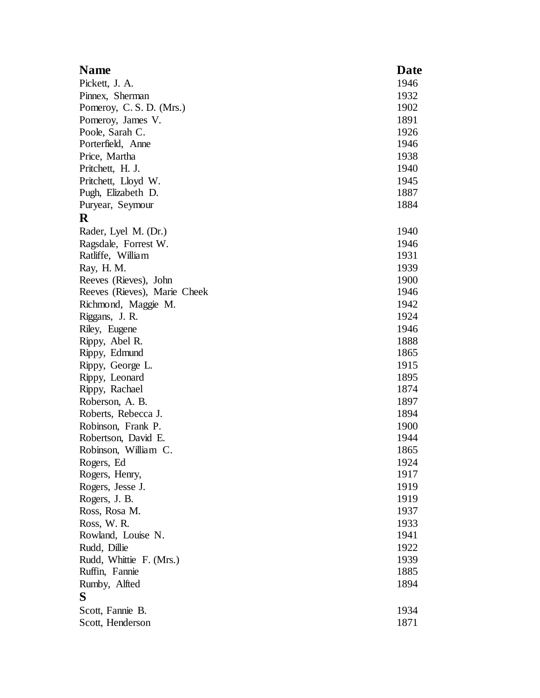| <b>Name</b>                  | <b>Date</b> |
|------------------------------|-------------|
| Pickett, J. A.               | 1946        |
| Pinnex, Sherman              | 1932        |
| Pomeroy, C. S. D. (Mrs.)     | 1902        |
| Pomeroy, James V.            | 1891        |
| Poole, Sarah C.              | 1926        |
| Porterfield, Anne            | 1946        |
| Price, Martha                | 1938        |
| Pritchett, H. J.             | 1940        |
| Pritchett, Lloyd W.          | 1945        |
| Pugh, Elizabeth D.           | 1887        |
| Puryear, Seymour             | 1884        |
| $\bf R$                      |             |
| Rader, Lyel M. (Dr.)         | 1940        |
| Ragsdale, Forrest W.         | 1946        |
| Ratliffe, William            | 1931        |
| Ray, H. M.                   | 1939        |
| Reeves (Rieves), John        | 1900        |
| Reeves (Rieves), Marie Cheek | 1946        |
| Richmond, Maggie M.          | 1942        |
| Riggans, J. R.               | 1924        |
| Riley, Eugene                | 1946        |
| Rippy, Abel R.               | 1888        |
| Rippy, Edmund                | 1865        |
| Rippy, George L.             | 1915        |
| Rippy, Leonard               | 1895        |
| Rippy, Rachael               | 1874        |
| Roberson, A. B.              | 1897        |
| Roberts, Rebecca J.          | 1894        |
| Robinson, Frank P.           | 1900        |
| Robertson, David E.          | 1944        |
| Robinson, William C.         | 1865        |
| Rogers, Ed                   | 1924        |
| Rogers, Henry,               | 1917        |
| Rogers, Jesse J.             | 1919        |
| Rogers, J. B.                | 1919        |
| Ross, Rosa M.                | 1937        |
| Ross, W. R.                  | 1933        |
| Rowland, Louise N.           | 1941        |
| Rudd, Dillie                 | 1922        |
| Rudd, Whittie F. (Mrs.)      | 1939        |
| Ruffin, Fannie               | 1885        |
| Rumby, Alfted                | 1894        |
| S                            |             |
| Scott, Fannie B.             | 1934        |
| Scott, Henderson             | 1871        |
|                              |             |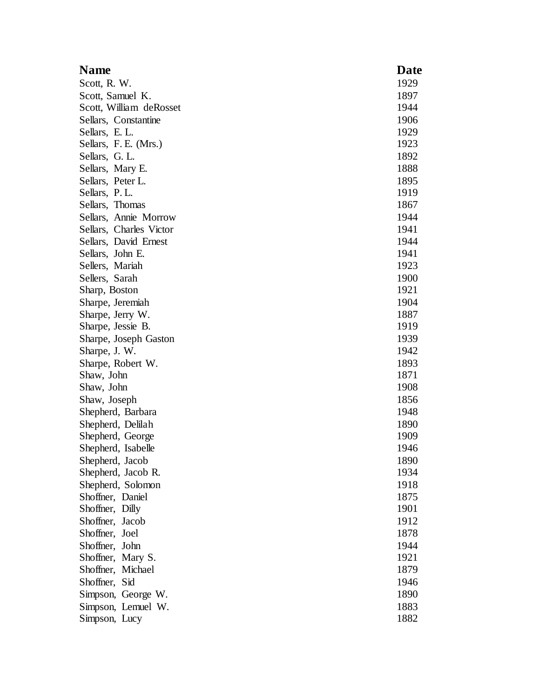| <b>Name</b>             | Date |
|-------------------------|------|
| Scott, R. W.            | 1929 |
| Scott, Samuel K.        | 1897 |
| Scott, William deRosset | 1944 |
| Sellars, Constantine    | 1906 |
| Sellars, E.L.           | 1929 |
| Sellars, F. E. (Mrs.)   | 1923 |
| Sellars, G. L.          | 1892 |
| Sellars, Mary E.        | 1888 |
| Sellars, Peter L.       | 1895 |
| Sellars, P.L.           | 1919 |
| Sellars, Thomas         | 1867 |
| Sellars, Annie Morrow   | 1944 |
| Sellars, Charles Victor | 1941 |
| Sellars, David Ernest   | 1944 |
| Sellars, John E.        | 1941 |
| Sellers, Mariah         | 1923 |
| Sellers, Sarah          | 1900 |
| Sharp, Boston           | 1921 |
| Sharpe, Jeremiah        | 1904 |
| Sharpe, Jerry W.        | 1887 |
| Sharpe, Jessie B.       | 1919 |
| Sharpe, Joseph Gaston   | 1939 |
| Sharpe, J. W.           | 1942 |
| Sharpe, Robert W.       | 1893 |
| Shaw, John              | 1871 |
| Shaw, John              | 1908 |
| Shaw, Joseph            | 1856 |
| Shepherd, Barbara       | 1948 |
| Shepherd, Delilah       | 1890 |
| Shepherd, George        | 1909 |
| Shepherd, Isabelle      | 1946 |
| Shepherd, Jacob         | 1890 |
| Shepherd, Jacob R.      | 1934 |
| Shepherd, Solomon       | 1918 |
| Shoffner, Daniel        | 1875 |
| Shoffner, Dilly         | 1901 |
| Shoffner, Jacob         | 1912 |
| Shoffner, Joel          | 1878 |
| Shoffner, John          | 1944 |
| Shoffner, Mary S.       | 1921 |
| Shoffner, Michael       | 1879 |
| Shoffner, Sid           | 1946 |
| Simpson, George W.      | 1890 |
| Simpson, Lemuel W.      | 1883 |
| Simpson, Lucy           | 1882 |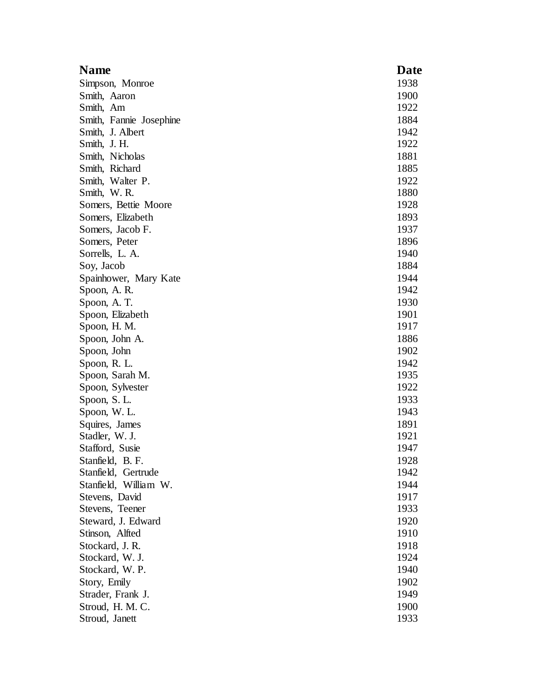| <b>Name</b>             | Date |
|-------------------------|------|
| Simpson, Monroe         | 1938 |
| Smith, Aaron            | 1900 |
| Smith, Am               | 1922 |
| Smith, Fannie Josephine | 1884 |
| Smith, J. Albert        | 1942 |
| Smith, J. H.            | 1922 |
| Smith, Nicholas         | 1881 |
| Smith, Richard          | 1885 |
| Smith, Walter P.        | 1922 |
| Smith, W.R.             | 1880 |
| Somers, Bettie Moore    | 1928 |
| Somers, Elizabeth       | 1893 |
| Somers, Jacob F.        | 1937 |
| Somers, Peter           | 1896 |
| Sorrells, L. A.         | 1940 |
| Soy, Jacob              | 1884 |
| Spainhower, Mary Kate   | 1944 |
| Spoon, A.R.             | 1942 |
| Spoon, A.T.             | 1930 |
| Spoon, Elizabeth        | 1901 |
| Spoon, H. M.            | 1917 |
| Spoon, John A.          | 1886 |
| Spoon, John             | 1902 |
| Spoon, R. L.            | 1942 |
| Spoon, Sarah M.         | 1935 |
| Spoon, Sylvester        | 1922 |
| Spoon, S.L.             | 1933 |
| Spoon, W.L.             | 1943 |
| Squires, James          | 1891 |
| Stadler, W. J.          | 1921 |
| Stafford, Susie         | 1947 |
| Stanfield, B.F.         | 1928 |
| Stanfield, Gertrude     | 1942 |
| Stanfield, William W.   | 1944 |
| Stevens, David          | 1917 |
| Stevens, Teener         | 1933 |
| Steward, J. Edward      | 1920 |
| Stinson, Alfted         | 1910 |
| Stockard, J. R.         | 1918 |
| Stockard, W. J.         | 1924 |
| Stockard, W. P.         | 1940 |
| Story, Emily            | 1902 |
| Strader, Frank J.       | 1949 |
| Stroud, H. M. C.        | 1900 |
| Stroud, Janett          | 1933 |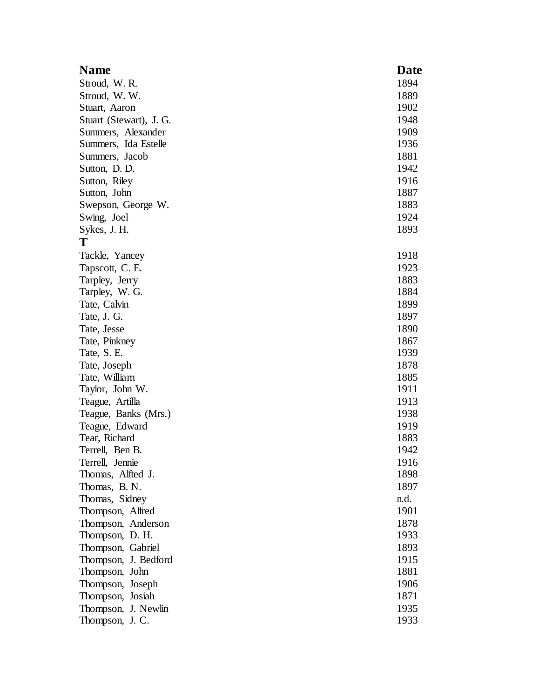| <b>Name</b>             | Date |
|-------------------------|------|
| Stroud, W.R.            | 1894 |
| Stroud, W.W.            | 1889 |
| Stuart, Aaron           | 1902 |
| Stuart (Stewart), J. G. | 1948 |
| Summers, Alexander      | 1909 |
| Summers, Ida Estelle    | 1936 |
| Summers, Jacob          | 1881 |
| Sutton, D. D.           | 1942 |
| Sutton, Riley           | 1916 |
| Sutton, John            | 1887 |
| Swepson, George W.      | 1883 |
| Swing, Joel             | 1924 |
| Sykes, J. H.            | 1893 |
| T                       |      |
| Tackle, Yancey          | 1918 |
| Tapscott, C. E.         | 1923 |
| Tarpley, Jerry          | 1883 |
| Tarpley, W. G.          | 1884 |
| Tate, Calvin            | 1899 |
| Tate, J. G.             | 1897 |
| Tate, Jesse             | 1890 |
| Tate, Pinkney           | 1867 |
| Tate, S. E.             | 1939 |
| Tate, Joseph            | 1878 |
| Tate, William           | 1885 |
| Taylor, John W.         | 1911 |
| Teague, Artilla         | 1913 |
| Teague, Banks (Mrs.)    | 1938 |
| Teague, Edward          | 1919 |
| Tear, Richard           | 1883 |
| Terrell, Ben B.         | 1942 |
| Terrell, Jennie         | 1916 |
| Thomas, Alfted J.       | 1898 |
| Thomas, B.N.            | 1897 |
| Thomas, Sidney          | n.d. |
| Thompson, Alfred        | 1901 |
| Thompson, Anderson      | 1878 |
| Thompson, D. H.         | 1933 |
| Thompson, Gabriel       | 1893 |
| Thompson, J. Bedford    | 1915 |
| Thompson, John          | 1881 |
| Thompson, Joseph        | 1906 |
| Thompson, Josiah        | 1871 |
| Thompson, J. Newlin     | 1935 |
| Thompson, J.C.          | 1933 |
|                         |      |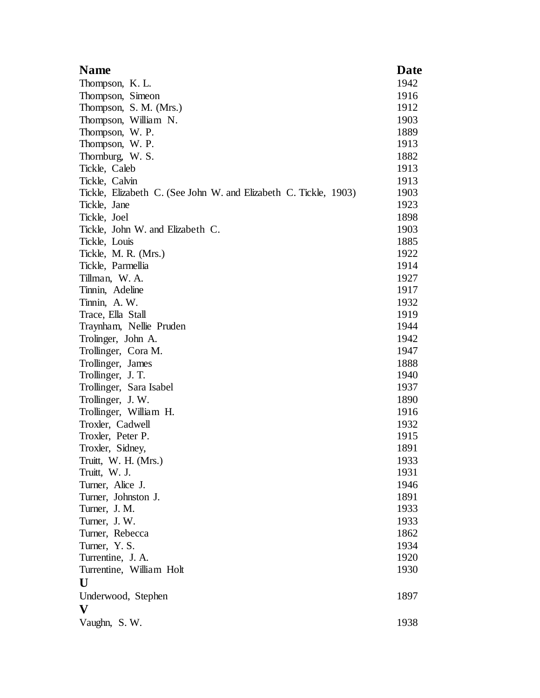| <b>Name</b>                                                      | Date |
|------------------------------------------------------------------|------|
| Thompson, K.L.                                                   | 1942 |
| Thompson, Simeon                                                 | 1916 |
| Thompson, S. M. (Mrs.)                                           | 1912 |
| Thompson, William N.                                             | 1903 |
| Thompson, W. P.                                                  | 1889 |
| Thompson, W. P.                                                  | 1913 |
| Thornburg, W. S.                                                 | 1882 |
| Tickle, Caleb                                                    | 1913 |
| Tickle, Calvin                                                   | 1913 |
| Tickle, Elizabeth C. (See John W. and Elizabeth C. Tickle, 1903) | 1903 |
| Tickle, Jane                                                     | 1923 |
| Tickle, Joel                                                     | 1898 |
| Tickle, John W. and Elizabeth C.                                 | 1903 |
| Tickle, Louis                                                    | 1885 |
| Tickle, M. R. (Mrs.)                                             | 1922 |
| Tickle, Parmellia                                                | 1914 |
| Tillman, W.A.                                                    | 1927 |
| Tinnin, Adeline                                                  | 1917 |
| Tinnin, A.W.                                                     | 1932 |
| Trace, Ella Stall                                                | 1919 |
| Traynham, Nellie Pruden                                          | 1944 |
| Trolinger, John A.                                               | 1942 |
| Trollinger, Cora M.                                              | 1947 |
| Trollinger, James                                                | 1888 |
| Trollinger, J. T.                                                | 1940 |
| Trollinger, Sara Isabel                                          | 1937 |
| Trollinger, J.W.                                                 | 1890 |
| Trollinger, William H.                                           | 1916 |
| Troxler, Cadwell                                                 | 1932 |
| Troxler, Peter P.                                                | 1915 |
| Troxler, Sidney,                                                 | 1891 |
| Truitt, W. H. (Mrs.)                                             | 1933 |
| Truitt, W. J.                                                    | 1931 |
| Turner, Alice J.                                                 | 1946 |
| Turner, Johnston J.                                              | 1891 |
| Turner, J. M.                                                    | 1933 |
| Turner, J.W.                                                     | 1933 |
| Turner, Rebecca                                                  | 1862 |
| Turner, Y.S.                                                     | 1934 |
| Turrentine, J. A.                                                | 1920 |
| Turrentine, William Holt                                         | 1930 |
| U                                                                |      |
| Underwood, Stephen                                               | 1897 |
| V                                                                |      |
| Vaughn, S.W.                                                     | 1938 |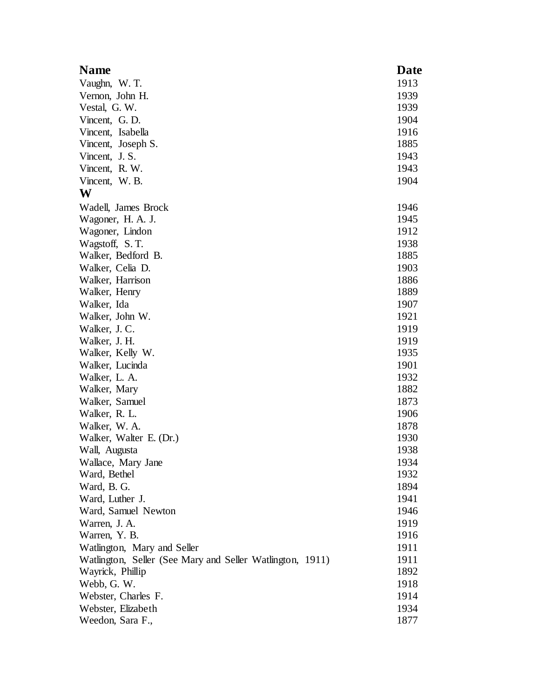| <b>Name</b>                                               | Date |
|-----------------------------------------------------------|------|
| Vaughn, W.T.                                              | 1913 |
| Vernon, John H.                                           | 1939 |
| Vestal, G. W.                                             | 1939 |
| Vincent, G. D.                                            | 1904 |
| Vincent, Isabella                                         | 1916 |
| Vincent, Joseph S.                                        | 1885 |
| Vincent, J.S.                                             | 1943 |
| Vincent, R.W.                                             | 1943 |
| Vincent, W. B.                                            | 1904 |
| W                                                         |      |
| Wadell, James Brock                                       | 1946 |
| Wagoner, H. A. J.                                         | 1945 |
| Wagoner, Lindon                                           | 1912 |
| Wagstoff, S.T.                                            | 1938 |
| Walker, Bedford B.                                        | 1885 |
| Walker, Celia D.                                          | 1903 |
| Walker, Harrison                                          | 1886 |
| Walker, Henry                                             | 1889 |
| Walker, Ida                                               | 1907 |
| Walker, John W.                                           | 1921 |
| Walker, J. C.                                             | 1919 |
| Walker, J. H.                                             | 1919 |
| Walker, Kelly W.                                          | 1935 |
| Walker, Lucinda                                           | 1901 |
| Walker, L. A.                                             | 1932 |
| Walker, Mary                                              | 1882 |
| Walker, Samuel                                            | 1873 |
| Walker, R. L.                                             | 1906 |
| Walker, W. A.                                             | 1878 |
| Walker, Walter E. (Dr.)                                   | 1930 |
| Wall, Augusta                                             | 1938 |
| Wallace, Mary Jane                                        | 1934 |
| Ward, Bethel                                              | 1932 |
| Ward, B. G.                                               | 1894 |
| Ward, Luther J.                                           | 1941 |
| Ward, Samuel Newton                                       | 1946 |
| Warren, J. A.                                             | 1919 |
| Warren, Y. B.                                             | 1916 |
| Watlington, Mary and Seller                               | 1911 |
| Watlington, Seller (See Mary and Seller Watlington, 1911) | 1911 |
| Wayrick, Phillip                                          | 1892 |
| Webb, G. W.                                               | 1918 |
| Webster, Charles F.                                       | 1914 |
| Webster, Elizabeth                                        | 1934 |
| Weedon, Sara F.,                                          | 1877 |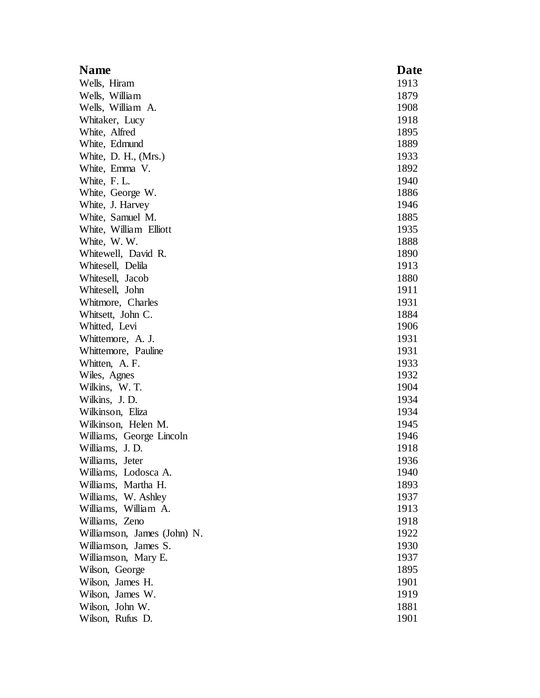| <b>Name</b>                 | Date |
|-----------------------------|------|
| Wells, Hiram                | 1913 |
| Wells, William              | 1879 |
| Wells, William A.           | 1908 |
| Whitaker, Lucy              | 1918 |
| White, Alfred               | 1895 |
| White, Edmund               | 1889 |
| White, D. H., (Mrs.)        | 1933 |
| White, Emma V.              | 1892 |
| White, F.L.                 | 1940 |
| White, George W.            | 1886 |
| White, J. Harvey            | 1946 |
| White, Samuel M.            | 1885 |
| White, William Elliott      | 1935 |
| White, W.W.                 | 1888 |
| Whitewell, David R.         | 1890 |
| Whitesell, Delila           | 1913 |
| Whitesell, Jacob            | 1880 |
| Whitesell, John             | 1911 |
| Whitmore, Charles           | 1931 |
| Whitsett, John C.           | 1884 |
| Whitted, Levi               | 1906 |
| Whittemore, A. J.           | 1931 |
| Whittemore, Pauline         | 1931 |
| Whitten, A. F.              | 1933 |
| Wiles, Agnes                | 1932 |
| Wilkins, W.T.               | 1904 |
| Wilkins, J.D.               | 1934 |
| Wilkinson, Eliza            | 1934 |
| Wilkinson, Helen M.         | 1945 |
| Williams, George Lincoln    | 1946 |
| Williams, J.D.              | 1918 |
| Williams, Jeter             | 1936 |
| Williams, Lodosca A.        | 1940 |
| Williams, Martha H.         | 1893 |
| Williams, W. Ashley         | 1937 |
| Williams, William A.        | 1913 |
| Williams, Zeno              | 1918 |
| Williamson, James (John) N. | 1922 |
| Williamson, James S.        | 1930 |
| Williamson, Mary E.         | 1937 |
| Wilson, George              | 1895 |
| Wilson, James H.            | 1901 |
| Wilson, James W.            | 1919 |
| Wilson, John W.             | 1881 |
| Wilson, Rufus D.            | 1901 |